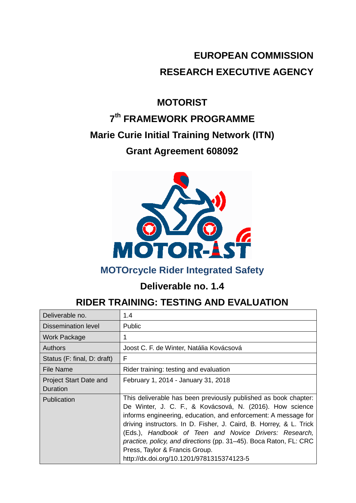# **EUROPEAN COMMISSION RESEARCH EXECUTIVE AGENCY**

## **MOTORIST**

# **7th FRAMEWORK PROGRAMME Marie Curie Initial Training Network (ITN) Grant Agreement 608092**



# **MOTOrcycle Rider Integrated Safety**

**Deliverable no. 1.4**

## **RIDER TRAINING: TESTING AND EVALUATION**

| Deliverable no.               | 1.4                                                                                                                                                                                                                                                                                                                                                                                                                                                                               |
|-------------------------------|-----------------------------------------------------------------------------------------------------------------------------------------------------------------------------------------------------------------------------------------------------------------------------------------------------------------------------------------------------------------------------------------------------------------------------------------------------------------------------------|
| Dissemination level           | Public                                                                                                                                                                                                                                                                                                                                                                                                                                                                            |
| Work Package                  |                                                                                                                                                                                                                                                                                                                                                                                                                                                                                   |
| <b>Authors</b>                | Joost C. F. de Winter, Natália Kovácsová                                                                                                                                                                                                                                                                                                                                                                                                                                          |
| Status (F: final, D: draft)   | F                                                                                                                                                                                                                                                                                                                                                                                                                                                                                 |
| <b>File Name</b>              | Rider training: testing and evaluation                                                                                                                                                                                                                                                                                                                                                                                                                                            |
| <b>Project Start Date and</b> | February 1, 2014 - January 31, 2018                                                                                                                                                                                                                                                                                                                                                                                                                                               |
| Duration                      |                                                                                                                                                                                                                                                                                                                                                                                                                                                                                   |
| Publication                   | This deliverable has been previously published as book chapter:<br>De Winter, J. C. F., & Kovácsová, N. (2016). How science<br>informs engineering, education, and enforcement: A message for<br>driving instructors. In D. Fisher, J. Caird, B. Horrey, & L. Trick<br>(Eds.), Handbook of Teen and Novice Drivers: Research,<br>practice, policy, and directions (pp. 31–45). Boca Raton, FL: CRC<br>Press, Taylor & Francis Group.<br>http://dx.doi.org/10.1201/9781315374123-5 |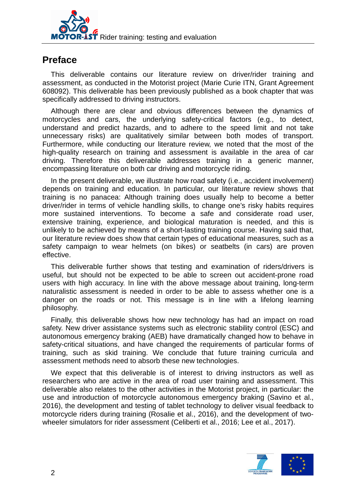

## **Preface**

This deliverable contains our literature review on driver/rider training and assessment, as conducted in the Motorist project (Marie Curie ITN, Grant Agreement 608092). This deliverable has been previously published as a book chapter that was specifically addressed to driving instructors.

Although there are clear and obvious differences between the dynamics of motorcycles and cars, the underlying safety-critical factors (e.g., to detect, understand and predict hazards, and to adhere to the speed limit and not take unnecessary risks) are qualitatively similar between both modes of transport. Furthermore, while conducting our literature review, we noted that the most of the high-quality research on training and assessment is available in the area of car driving. Therefore this deliverable addresses training in a generic manner, encompassing literature on both car driving and motorcycle riding.

In the present deliverable, we illustrate how road safety (i.e., accident involvement) depends on training and education. In particular, our literature review shows that training is no panacea: Although training does usually help to become a better driver/rider in terms of vehicle handling skills, to change one's risky habits requires more sustained interventions. To become a safe and considerate road user, extensive training, experience, and biological maturation is needed, and this is unlikely to be achieved by means of a short-lasting training course. Having said that, our literature review does show that certain types of educational measures, such as a safety campaign to wear helmets (on bikes) or seatbelts (in cars) are proven effective.

This deliverable further shows that testing and examination of riders/drivers is useful, but should not be expected to be able to screen out accident-prone road users with high accuracy. In line with the above message about training, long-term naturalistic assessment is needed in order to be able to assess whether one is a danger on the roads or not. This message is in line with a lifelong learning philosophy.

Finally, this deliverable shows how new technology has had an impact on road safety. New driver assistance systems such as electronic stability control (ESC) and autonomous emergency braking (AEB) have dramatically changed how to behave in safety-critical situations, and have changed the requirements of particular forms of training, such as skid training. We conclude that future training curricula and assessment methods need to absorb these new technologies.

We expect that this deliverable is of interest to driving instructors as well as researchers who are active in the area of road user training and assessment. This deliverable also relates to the other activities in the Motorist project, in particular: the use and introduction of motorcycle autonomous emergency braking (Savino et al., 2016), the development and testing of tablet technology to deliver visual feedback to motorcycle riders during training (Rosalie et al., 2016), and the development of twowheeler simulators for rider assessment (Celiberti et al., 2016; Lee et al., 2017).

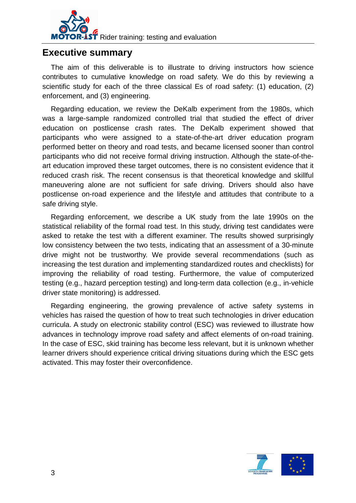

## **Executive summary**

The aim of this deliverable is to illustrate to driving instructors how science contributes to cumulative knowledge on road safety. We do this by reviewing a scientific study for each of the three classical Es of road safety: (1) education, (2) enforcement, and (3) engineering.

Regarding education, we review the DeKalb experiment from the 1980s, which was a large-sample randomized controlled trial that studied the effect of driver education on postlicense crash rates. The DeKalb experiment showed that participants who were assigned to a state-of-the-art driver education program performed better on theory and road tests, and became licensed sooner than control participants who did not receive formal driving instruction. Although the state-of-theart education improved these target outcomes, there is no consistent evidence that it reduced crash risk. The recent consensus is that theoretical knowledge and skillful maneuvering alone are not sufficient for safe driving. Drivers should also have postlicense on-road experience and the lifestyle and attitudes that contribute to a safe driving style.

Regarding enforcement, we describe a UK study from the late 1990s on the statistical reliability of the formal road test. In this study, driving test candidates were asked to retake the test with a different examiner. The results showed surprisingly low consistency between the two tests, indicating that an assessment of a 30-minute drive might not be trustworthy. We provide several recommendations (such as increasing the test duration and implementing standardized routes and checklists) for improving the reliability of road testing. Furthermore, the value of computerized testing (e.g., hazard perception testing) and long-term data collection (e.g., in-vehicle driver state monitoring) is addressed.

Regarding engineering, the growing prevalence of active safety systems in vehicles has raised the question of how to treat such technologies in driver education curricula. A study on electronic stability control (ESC) was reviewed to illustrate how advances in technology improve road safety and affect elements of on-road training. In the case of ESC, skid training has become less relevant, but it is unknown whether learner drivers should experience critical driving situations during which the ESC gets activated. This may foster their overconfidence.

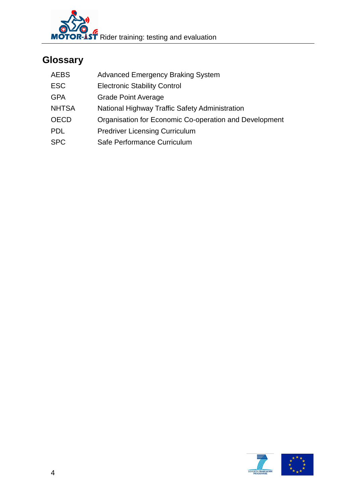# **Glossary**

| <b>AEBS</b>  | <b>Advanced Emergency Braking System</b>               |
|--------------|--------------------------------------------------------|
| <b>ESC</b>   | <b>Electronic Stability Control</b>                    |
| <b>GPA</b>   | <b>Grade Point Average</b>                             |
| <b>NHTSA</b> | National Highway Traffic Safety Administration         |
| <b>OECD</b>  | Organisation for Economic Co-operation and Development |
| <b>PDL</b>   | <b>Predriver Licensing Curriculum</b>                  |
| <b>SPC</b>   | Safe Performance Curriculum                            |

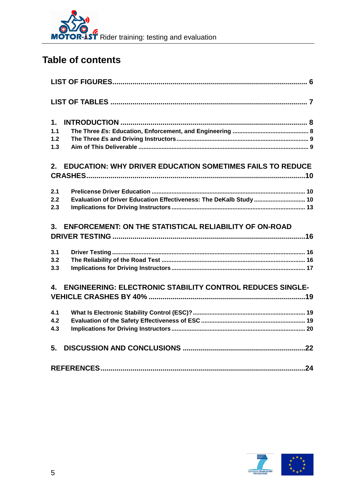

# **Table of contents**

| 1 <sub>1</sub> |                                                                    |
|----------------|--------------------------------------------------------------------|
| $1.1$          |                                                                    |
| 1.2            |                                                                    |
| 1.3            |                                                                    |
| 2.             | <b>EDUCATION: WHY DRIVER EDUCATION SOMETIMES FAILS TO REDUCE</b>   |
|                |                                                                    |
| 2.1            |                                                                    |
| 2.2            | Evaluation of Driver Education Effectiveness: The DeKalb Study  10 |
| 2.3            |                                                                    |
| 3.             | <b>ENFORCEMENT: ON THE STATISTICAL RELIABILITY OF ON-ROAD</b>      |
|                |                                                                    |
|                |                                                                    |
| 3.1            |                                                                    |
| 3.2            |                                                                    |
| 3.3            |                                                                    |
| 4.             | <b>ENGINEERING: ELECTRONIC STABILITY CONTROL REDUCES SINGLE-</b>   |
|                |                                                                    |
| 4.1            |                                                                    |
| 4.2            |                                                                    |
| 4.3            |                                                                    |
| 5.             |                                                                    |
|                |                                                                    |
|                |                                                                    |

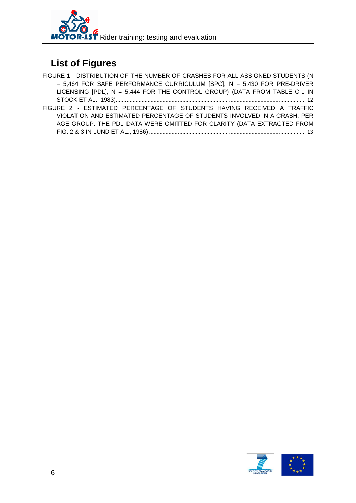# **List of Figures**

| FIGURE 1 - DISTRIBUTION OF THE NUMBER OF CRASHES FOR ALL ASSIGNED STUDENTS (N |  |
|-------------------------------------------------------------------------------|--|
| $= 5,464$ FOR SAFE PERFORMANCE CURRICULUM [SPC], N = 5,430 FOR PRE-DRIVER     |  |
| LICENSING [PDL], N = 5,444 FOR THE CONTROL GROUP) (DATA FROM TABLE C-1 IN     |  |
|                                                                               |  |
| FIGURE 2 - ESTIMATED PERCENTAGE OF STUDENTS HAVING RECEIVED A TRAFFIC         |  |
| VIOLATION AND ESTIMATED PERCENTAGE OF STUDENTS INVOLVED IN A CRASH, PER       |  |
| AGE GROUP. THE PDL DATA WERE OMITTED FOR CLARITY (DATA EXTRACTED FROM         |  |
|                                                                               |  |

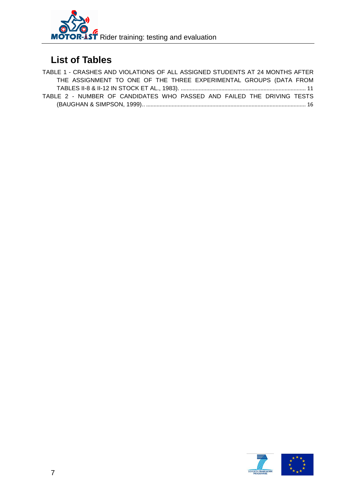

# **List of Tables**

| TABLE 1 - CRASHES AND VIOLATIONS OF ALL ASSIGNED STUDENTS AT 24 MONTHS AFTER |  |
|------------------------------------------------------------------------------|--|
| THE ASSIGNMENT TO ONE OF THE THREE EXPERIMENTAL GROUPS (DATA FROM            |  |
|                                                                              |  |
| TABLE 2 - NUMBER OF CANDIDATES WHO PASSED AND FAILED THE DRIVING TESTS       |  |
|                                                                              |  |

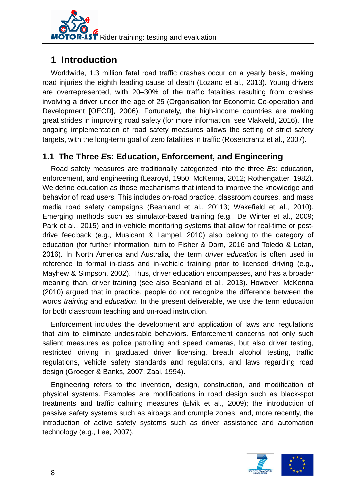## **1 Introduction**

Worldwide, 1.3 million fatal road traffic crashes occur on a yearly basis, making road injuries the eighth leading cause of death (Lozano et al., 2013). Young drivers are overrepresented, with 20–30% of the traffic fatalities resulting from crashes involving a driver under the age of 25 (Organisation for Economic Co-operation and Development [OECD], 2006). Fortunately, the high-income countries are making great strides in improving road safety (for more information, see Vlakveld, 2016). The ongoing implementation of road safety measures allows the setting of strict safety targets, with the long-term goal of zero fatalities in traffic (Rosencrantz et al., 2007).

## **1.1 The Three** *E***s: Education, Enforcement, and Engineering**

Road safety measures are traditionally categorized into the three *E*s: education, enforcement, and engineering (Learoyd, 1950; McKenna, 2012; Rothengatter, 1982). We define education as those mechanisms that intend to improve the knowledge and behavior of road users. This includes on-road practice, classroom courses, and mass media road safety campaigns (Beanland et al., 20113; Wakefield et al., 2010). Emerging methods such as simulator-based training (e.g., De Winter et al., 2009; Park et al., 2015) and in-vehicle monitoring systems that allow for real-time or postdrive feedback (e.g., Musicant & Lampel, 2010) also belong to the category of education (for further information, turn to Fisher & Dorn, 2016 and Toledo & Lotan, 2016). In North America and Australia, the term *driver education* is often used in reference to formal in-class and in-vehicle training prior to licensed driving (e.g., Mayhew & Simpson, 2002). Thus, driver education encompasses, and has a broader meaning than, driver training (see also Beanland et al., 2013). However, McKenna (2010) argued that in practice, people do not recognize the difference between the words *training* and *education*. In the present deliverable, we use the term education for both classroom teaching and on-road instruction.

Enforcement includes the development and application of laws and regulations that aim to eliminate undesirable behaviors. Enforcement concerns not only such salient measures as police patrolling and speed cameras, but also driver testing, restricted driving in graduated driver licensing, breath alcohol testing, traffic regulations, vehicle safety standards and regulations, and laws regarding road design (Groeger & Banks, 2007; Zaal, 1994).

Engineering refers to the invention, design, construction, and modification of physical systems. Examples are modifications in road design such as black-spot treatments and traffic calming measures (Elvik et al., 2009); the introduction of passive safety systems such as airbags and crumple zones; and, more recently, the introduction of active safety systems such as driver assistance and automation technology (e.g., Lee, 2007).

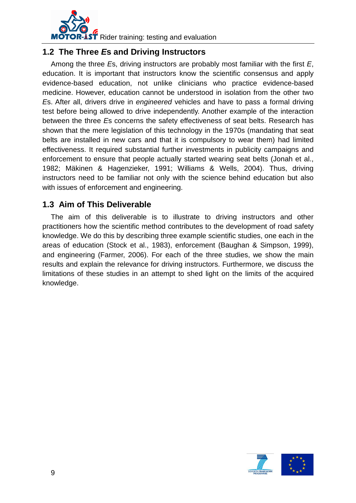

 $ST$  Rider training: testing and evaluation

#### <span id="page-8-0"></span>**1.2 The Three** *E***s and Driving Instructors**

Among the three *E*s, driving instructors are probably most familiar with the first *E*, education. It is important that instructors know the scientific consensus and apply evidence-based education, not unlike clinicians who practice evidence-based medicine. However, education cannot be understood in isolation from the other two *E*s. After all, drivers drive in *engineered* vehicles and have to pass a formal driving test before being allowed to drive independently. Another example of the interaction between the three *E*s concerns the safety effectiveness of seat belts. Research has shown that the mere legislation of this technology in the 1970s (mandating that seat belts are installed in new cars and that it is compulsory to wear them) had limited effectiveness. It required substantial further investments in publicity campaigns and enforcement to ensure that people actually started wearing seat belts (Jonah et al., 1982; Mäkinen & Hagenzieker, 1991; Williams & Wells, 2004). Thus, driving instructors need to be familiar not only with the science behind education but also with issues of enforcement and engineering.

#### **1.3 Aim of This Deliverable**

The aim of this deliverable is to illustrate to driving instructors and other practitioners how the scientific method contributes to the development of road safety knowledge. We do this by describing three example scientific studies, one each in the areas of education (Stock et al., 1983), enforcement (Baughan & Simpson, 1999), and engineering (Farmer, 2006). For each of the three studies, we show the main results and explain the relevance for driving instructors. Furthermore, we discuss the limitations of these studies in an attempt to shed light on the limits of the acquired knowledge.

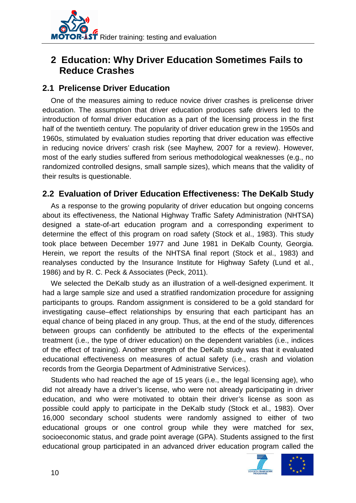## **2 Education: Why Driver Education Sometimes Fails to Reduce Crashes**

## **2.1 Prelicense Driver Education**

One of the measures aiming to reduce novice driver crashes is prelicense driver education. The assumption that driver education produces safe drivers led to the introduction of formal driver education as a part of the licensing process in the first half of the twentieth century. The popularity of driver education grew in the 1950s and 1960s, stimulated by evaluation studies reporting that driver education was effective in reducing novice drivers' crash risk (see Mayhew, 2007 for a review). However, most of the early studies suffered from serious methodological weaknesses (e.g., no randomized controlled designs, small sample sizes), which means that the validity of their results is questionable.

## **2.2 Evaluation of Driver Education Effectiveness: The DeKalb Study**

As a response to the growing popularity of driver education but ongoing concerns about its effectiveness, the National Highway Traffic Safety Administration (NHTSA) designed a state-of-art education program and a corresponding experiment to determine the effect of this program on road safety (Stock et al., 1983). This study took place between December 1977 and June 1981 in DeKalb County, Georgia. Herein, we report the results of the NHTSA final report (Stock et al., 1983) and reanalyses conducted by the Insurance Institute for Highway Safety (Lund et al., 1986) and by R. C. Peck & Associates (Peck, 2011).

We selected the DeKalb study as an illustration of a well-designed experiment. It had a large sample size and used a stratified randomization procedure for assigning participants to groups. Random assignment is considered to be a gold standard for investigating cause–effect relationships by ensuring that each participant has an equal chance of being placed in any group. Thus, at the end of the study, differences between groups can confidently be attributed to the effects of the experimental treatment (i.e., the type of driver education) on the dependent variables (i.e., indices of the effect of training). Another strength of the DeKalb study was that it evaluated educational effectiveness on measures of actual safety (i.e., crash and violation records from the Georgia Department of Administrative Services).

Students who had reached the age of 15 years (i.e., the legal licensing age), who did not already have a driver's license, who were not already participating in driver education, and who were motivated to obtain their driver's license as soon as possible could apply to participate in the DeKalb study (Stock et al., 1983). Over 16,000 secondary school students were randomly assigned to either of two educational groups or one control group while they were matched for sex, socioeconomic status, and grade point average (GPA). Students assigned to the first educational group participated in an advanced driver education program called the



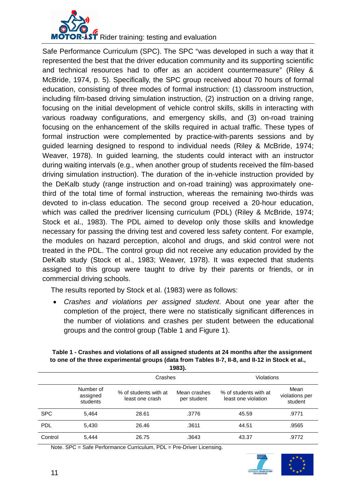

Safe Performance Curriculum (SPC). The SPC "was developed in such a way that it represented the best that the driver education community and its supporting scientific and technical resources had to offer as an accident countermeasure" (Riley & McBride, 1974, p. 5). Specifically, the SPC group received about 70 hours of formal education, consisting of three modes of formal instruction: (1) classroom instruction, including film-based driving simulation instruction, (2) instruction on a driving range, focusing on the initial development of vehicle control skills, skills in interacting with various roadway configurations, and emergency skills, and (3) on-road training focusing on the enhancement of the skills required in actual traffic. These types of formal instruction were complemented by practice-with-parents sessions and by guided learning designed to respond to individual needs (Riley & McBride, 1974; Weaver, 1978). In guided learning, the students could interact with an instructor during waiting intervals (e.g., when another group of students received the film-based driving simulation instruction). The duration of the in-vehicle instruction provided by the DeKalb study (range instruction and on-road training) was approximately onethird of the total time of formal instruction, whereas the remaining two-thirds was devoted to in-class education. The second group received a 20-hour education, which was called the predriver licensing curriculum (PDL) (Riley & McBride, 1974; Stock et al., 1983). The PDL aimed to develop only those skills and knowledge necessary for passing the driving test and covered less safety content. For example, the modules on hazard perception, alcohol and drugs, and skid control were not treated in the PDL. The control group did not receive any education provided by the DeKalb study (Stock et al., 1983; Weaver, 1978). It was expected that students assigned to this group were taught to drive by their parents or friends, or in commercial driving schools.

The results reported by Stock et al. (1983) were as follows:

• *Crashes and violations per assigned student*. About one year after the completion of the project, there were no statistically significant differences in the number of violations and crashes per student between the educational groups and the control group (Table 1 and Figure 1).

**Table 1 - Crashes and violations of all assigned students at 24 months after the assignment to one of the three experimental groups (data from Tables II-7, II-8, and II-12 in Stock et al., 1983).**

|            |                                   |                                          | 1 JUJ.                      |                                              |                                   |
|------------|-----------------------------------|------------------------------------------|-----------------------------|----------------------------------------------|-----------------------------------|
|            |                                   | Crashes                                  |                             | <b>Violations</b>                            |                                   |
|            | Number of<br>assigned<br>students | % of students with at<br>least one crash | Mean crashes<br>per student | % of students with at<br>least one violation | Mean<br>violations per<br>student |
| <b>SPC</b> | 5.464                             | 28.61                                    | .3776                       | 45.59                                        | .9771                             |
| <b>PDL</b> | 5,430                             | 26.46                                    | .3611                       | 44.51                                        | .9565                             |
| Control    | 5,444                             | 26.75                                    | .3643                       | 43.37                                        | .9772                             |

Note. SPC = Safe Performance Curriculum, PDL = Pre-Driver Licensing.

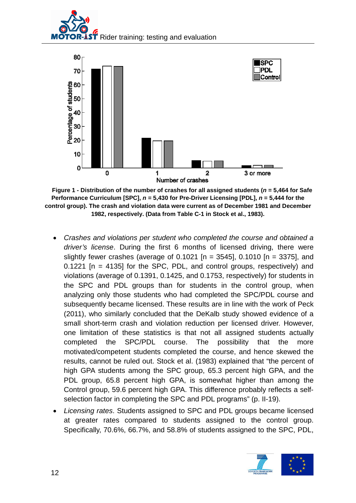

<span id="page-11-0"></span>**Figure 1 - Distribution of the number of crashes for all assigned students (***n* **= 5,464 for Safe Performance Curriculum [SPC],** *n* **= 5,430 for Pre-Driver Licensing [PDL],** *n* **= 5,444 for the control group). The crash and violation data were current as of December 1981 and December 1982, respectively. (Data from Table C-1 in Stock et al., 1983).**

- *Crashes and violations per student who completed the course and obtained a driver's license*. During the first 6 months of licensed driving, there were slightly fewer crashes (average of 0.1021  $[n = 3545]$ , 0.1010  $[n = 3375]$ , and 0.1221 [n = 4135] for the SPC, PDL, and control groups, respectively) and violations (average of 0.1391, 0.1425, and 0.1753, respectively) for students in the SPC and PDL groups than for students in the control group, when analyzing only those students who had completed the SPC/PDL course and subsequently became licensed. These results are in line with the work of Peck (2011), who similarly concluded that the DeKalb study showed evidence of a small short-term crash and violation reduction per licensed driver. However, one limitation of these statistics is that not all assigned students actually completed the SPC/PDL course. The possibility that the more motivated/competent students completed the course, and hence skewed the results, cannot be ruled out. Stock et al. (1983) explained that "the percent of high GPA students among the SPC group, 65.3 percent high GPA, and the PDL group, 65.8 percent high GPA, is somewhat higher than among the Control group, 59.6 percent high GPA. This difference probably reflects a selfselection factor in completing the SPC and PDL programs" (p. II-19).
- *Licensing rates*. Students assigned to SPC and PDL groups became licensed at greater rates compared to students assigned to the control group. Specifically, 70.6%, 66.7%, and 58.8% of students assigned to the SPC, PDL,

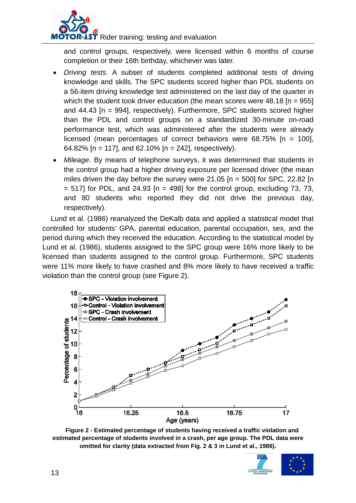# **T** Rider training: testing and evaluation

and control groups, respectively, were licensed within 6 months of course completion or their 16th birthday, whichever was later.

- *Driving tests*. A subset of students completed additional tests of driving knowledge and skills. The SPC students scored higher than PDL students on a 56-item driving knowledge test administered on the last day of the quarter in which the student took driver education (the mean scores were  $48.18$  [n = 955] and 44.43 [n = 994], respectively). Furthermore, SPC students scored higher than the PDL and control groups on a standardized 30-minute on-road performance test, which was administered after the students were already licensed (mean percentages of correct behaviors were  $68.75\%$  [n = 100], 64.82% [n = 117], and 62.10% [n = 242], respectively).
- *Mileage*. By means of telephone surveys, it was determined that students in the control group had a higher driving exposure per licensed driver (the mean miles driven the day before the survey were 21.05  $[n = 500]$  for SPC, 22.82  $[n]$  $= 517$ ] for PDL, and 24.93 [n  $= 498$ ] for the control group, excluding 73, 73, and 80 students who reported they did not drive the previous day, respectively).

Lund et al. (1986) reanalyzed the DeKalb data and applied a statistical model that controlled for students' GPA, parental education, parental occupation, sex, and the period during which they received the education. According to the statistical model by Lund et al. (1986), students assigned to the SPC group were 16% more likely to be licensed than students assigned to the control group. Furthermore, SPC students were 11% more likely to have crashed and 8% more likely to have received a traffic violation than the control group (see Figure 2).



**Figure 2 - Estimated percentage of students having received a traffic violation and estimated percentage of students involved in a crash, per age group. The PDL data were omitted for clarity (data extracted from Fig. 2 & 3 in Lund et al., 1986).**

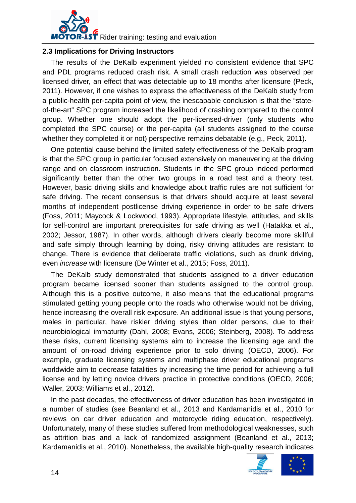

#### **2.3 Implications for Driving Instructors**

The results of the DeKalb experiment yielded no consistent evidence that SPC and PDL programs reduced crash risk. A small crash reduction was observed per licensed driver, an effect that was detectable up to 18 months after licensure (Peck, 2011). However, if one wishes to express the effectiveness of the DeKalb study from a public-health per-capita point of view, the inescapable conclusion is that the "stateof-the-art" SPC program increased the likelihood of crashing compared to the control group. Whether one should adopt the per-licensed-driver (only students who completed the SPC course) or the per-capita (all students assigned to the course whether they completed it or not) perspective remains debatable (e.g., Peck, 2011).

One potential cause behind the limited safety effectiveness of the DeKalb program is that the SPC group in particular focused extensively on maneuvering at the driving range and on classroom instruction. Students in the SPC group indeed performed significantly better than the other two groups in a road test and a theory test. However, basic driving skills and knowledge about traffic rules are not sufficient for safe driving. The recent consensus is that drivers should acquire at least several months of independent postlicense driving experience in order to be safe drivers (Foss, 2011; Maycock & Lockwood, 1993). Appropriate lifestyle, attitudes, and skills for self-control are important prerequisites for safe driving as well (Hatakka et al., 2002; Jessor, 1987). In other words, although drivers clearly become more skillful and safe simply through learning by doing, risky driving attitudes are resistant to change. There is evidence that deliberate traffic violations, such as drunk driving, even *increase* with licensure (De Winter et al., 2015; Foss, 2011).

The DeKalb study demonstrated that students assigned to a driver education program became licensed sooner than students assigned to the control group. Although this is a positive outcome, it also means that the educational programs stimulated getting young people onto the roads who otherwise would not be driving, hence increasing the overall risk exposure. An additional issue is that young persons, males in particular, have riskier driving styles than older persons, due to their neurobiological immaturity (Dahl, 2008; Evans, 2006; Steinberg, 2008). To address these risks, current licensing systems aim to increase the licensing age and the amount of on-road driving experience prior to solo driving (OECD, 2006). For example, graduate licensing systems and multiphase driver educational programs worldwide aim to decrease fatalities by increasing the time period for achieving a full license and by letting novice drivers practice in protective conditions (OECD, 2006; Waller, 2003; Williams et al., 2012).

In the past decades, the effectiveness of driver education has been investigated in a number of studies (see Beanland et al., 2013 and Kardamanidis et al., 2010 for reviews on car driver education and motorcycle riding education, respectively). Unfortunately, many of these studies suffered from methodological weaknesses, such as attrition bias and a lack of randomized assignment (Beanland et al., 2013; Kardamanidis et al., 2010). Nonetheless, the available high-quality research indicates



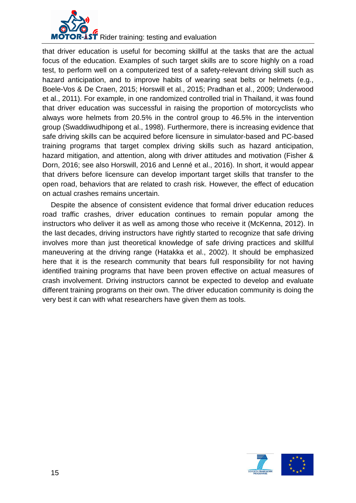

 $T$  Rider training: testing and evaluation

that driver education is useful for becoming skillful at the tasks that are the actual focus of the education. Examples of such target skills are to score highly on a road test, to perform well on a computerized test of a safety-relevant driving skill such as hazard anticipation, and to improve habits of wearing seat belts or helmets (e.g., Boele-Vos & De Craen, 2015; Horswill et al., 2015; Pradhan et al., 2009; Underwood et al., 2011). For example, in one randomized controlled trial in Thailand, it was found that driver education was successful in raising the proportion of motorcyclists who always wore helmets from 20.5% in the control group to 46.5% in the intervention group (Swaddiwudhipong et al., 1998). Furthermore, there is increasing evidence that safe driving skills can be acquired before licensure in simulator-based and PC-based training programs that target complex driving skills such as hazard anticipation, hazard mitigation, and attention, along with driver attitudes and motivation (Fisher & Dorn, 2016; see also Horswill, 2016 and Lenné et al., 2016). In short, it would appear that drivers before licensure can develop important target skills that transfer to the open road, behaviors that are related to crash risk. However, the effect of education on actual crashes remains uncertain.

Despite the absence of consistent evidence that formal driver education reduces road traffic crashes, driver education continues to remain popular among the instructors who deliver it as well as among those who receive it (McKenna, 2012). In the last decades, driving instructors have rightly started to recognize that safe driving involves more than just theoretical knowledge of safe driving practices and skillful maneuvering at the driving range (Hatakka et al., 2002). It should be emphasized here that it is the research community that bears full responsibility for not having identified training programs that have been proven effective on actual measures of crash involvement. Driving instructors cannot be expected to develop and evaluate different training programs on their own. The driver education community is doing the very best it can with what researchers have given them as tools.

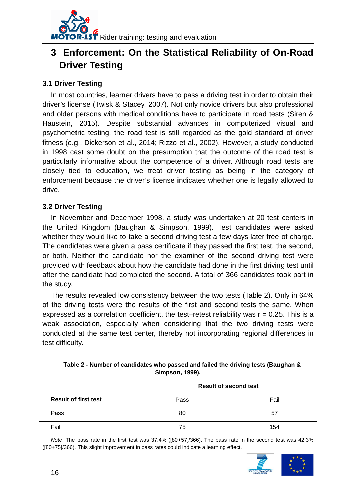# **3 Enforcement: On the Statistical Reliability of On-Road Driver Testing**

#### **3.1 Driver Testing**

In most countries, learner drivers have to pass a driving test in order to obtain their driver's license (Twisk & Stacey, 2007). Not only novice drivers but also professional and older persons with medical conditions have to participate in road tests (Siren & Haustein, 2015). Despite substantial advances in computerized visual and psychometric testing, the road test is still regarded as the gold standard of driver fitness (e.g., Dickerson et al., 2014; Rizzo et al., 2002). However, a study conducted in 1998 cast some doubt on the presumption that the outcome of the road test is particularly informative about the competence of a driver. Although road tests are closely tied to education, we treat driver testing as being in the category of enforcement because the driver's license indicates whether one is legally allowed to drive.

#### **3.2 Driver Testing**

In November and December 1998, a study was undertaken at 20 test centers in the United Kingdom (Baughan & Simpson, 1999). Test candidates were asked whether they would like to take a second driving test a few days later free of charge. The candidates were given a pass certificate if they passed the first test, the second, or both. Neither the candidate nor the examiner of the second driving test were provided with feedback about how the candidate had done in the first driving test until after the candidate had completed the second. A total of 366 candidates took part in the study.

The results revealed low consistency between the two tests (Table 2). Only in 64% of the driving tests were the results of the first and second tests the same. When expressed as a correlation coefficient, the test–retest reliability was  $r = 0.25$ . This is a weak association, especially when considering that the two driving tests were conducted at the same test center, thereby not incorporating regional differences in test difficulty.

**Table 2 - Number of candidates who passed and failed the driving tests (Baughan & Simpson, 1999).**

|                             | <b>Result of second test</b> |      |  |
|-----------------------------|------------------------------|------|--|
| <b>Result of first test</b> | Pass                         | Fail |  |
| Pass                        | 80                           | 57   |  |
| Fail                        | 75                           | 154  |  |

*Note*. The pass rate in the first test was 37.4% ([80+57]/366). The pass rate in the second test was 42.3% ([80+75]/366). This slight improvement in pass rates could indicate a learning effect.

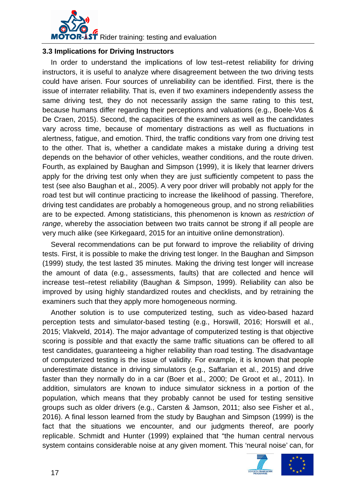

#### **3.3 Implications for Driving Instructors**

In order to understand the implications of low test–retest reliability for driving instructors, it is useful to analyze where disagreement between the two driving tests could have arisen. Four sources of unreliability can be identified. First, there is the issue of interrater reliability. That is, even if two examiners independently assess the same driving test, they do not necessarily assign the same rating to this test, because humans differ regarding their perceptions and valuations (e.g., Boele-Vos & De Craen, 2015). Second, the capacities of the examiners as well as the candidates vary across time, because of momentary distractions as well as fluctuations in alertness, fatigue, and emotion. Third, the traffic conditions vary from one driving test to the other. That is, whether a candidate makes a mistake during a driving test depends on the behavior of other vehicles, weather conditions, and the route driven. Fourth, as explained by Baughan and Simpson (1999), it is likely that learner drivers apply for the driving test only when they are just sufficiently competent to pass the test (see also Baughan et al., 2005). A very poor driver will probably not apply for the road test but will continue practicing to increase the likelihood of passing. Therefore, driving test candidates are probably a homogeneous group, and no strong reliabilities are to be expected. Among statisticians, this phenomenon is known as *restriction of range*, whereby the association between two traits cannot be strong if all people are very much alike (see Kirkegaard, 2015 for an intuitive online demonstration).

Several recommendations can be put forward to improve the reliability of driving tests. First, it is possible to make the driving test longer. In the Baughan and Simpson (1999) study, the test lasted 35 minutes. Making the driving test longer will increase the amount of data (e.g., assessments, faults) that are collected and hence will increase test–retest reliability (Baughan & Simpson, 1999). Reliability can also be improved by using highly standardized routes and checklists, and by retraining the examiners such that they apply more homogeneous norming.

Another solution is to use computerized testing, such as video-based hazard perception tests and simulator-based testing (e.g., Horswill, 2016; Horswill et al., 2015; Vlakveld, 2014). The major advantage of computerized testing is that objective scoring is possible and that exactly the same traffic situations can be offered to all test candidates, guaranteeing a higher reliability than road testing. The disadvantage of computerized testing is the issue of validity. For example, it is known that people underestimate distance in driving simulators (e.g., Saffarian et al., 2015) and drive faster than they normally do in a car (Boer et al., 2000; De Groot et al., 2011). In addition, simulators are known to induce simulator sickness in a portion of the population, which means that they probably cannot be used for testing sensitive groups such as older drivers (e.g., Carsten & Jamson, 2011; also see Fisher et al., 2016). A final lesson learned from the study by Baughan and Simpson (1999) is the fact that the situations we encounter, and our judgments thereof, are poorly replicable. Schmidt and Hunter (1999) explained that "the human central nervous system contains considerable noise at any given moment. This 'neural noise' can, for



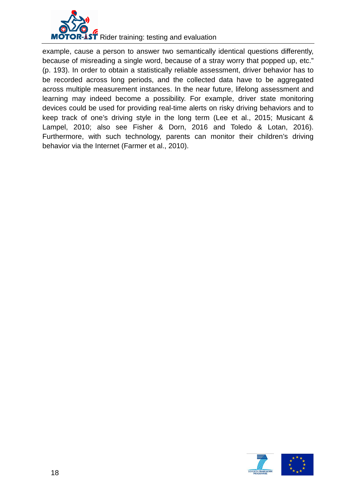

 $\ddot{\mathbf{T}}$  Rider training: testing and evaluation

example, cause a person to answer two semantically identical questions differently, because of misreading a single word, because of a stray worry that popped up, etc." (p. 193). In order to obtain a statistically reliable assessment, driver behavior has to be recorded across long periods, and the collected data have to be aggregated across multiple measurement instances. In the near future, lifelong assessment and learning may indeed become a possibility. For example, driver state monitoring devices could be used for providing real-time alerts on risky driving behaviors and to keep track of one's driving style in the long term (Lee et al., 2015; Musicant & Lampel, 2010; also see Fisher & Dorn, 2016 and Toledo & Lotan, 2016). Furthermore, with such technology, parents can monitor their children's driving behavior via the Internet (Farmer et al., 2010).

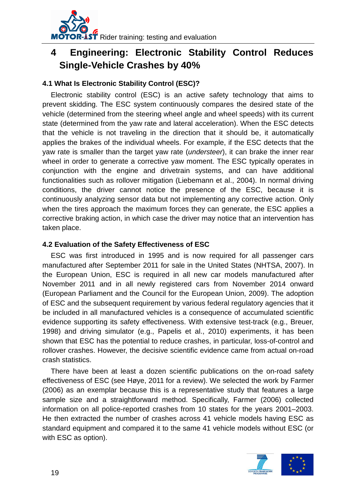

# **4 Engineering: Electronic Stability Control Reduces Single-Vehicle Crashes by 40%**

#### **4.1 What Is Electronic Stability Control (ESC)?**

Electronic stability control (ESC) is an active safety technology that aims to prevent skidding. The ESC system continuously compares the desired state of the vehicle (determined from the steering wheel angle and wheel speeds) with its current state (determined from the yaw rate and lateral acceleration). When the ESC detects that the vehicle is not traveling in the direction that it should be, it automatically applies the brakes of the individual wheels. For example, if the ESC detects that the yaw rate is smaller than the target yaw rate (*understeer*), it can brake the inner rear wheel in order to generate a corrective yaw moment. The ESC typically operates in conjunction with the engine and drivetrain systems, and can have additional functionalities such as rollover mitigation (Liebemann et al., 2004). In normal driving conditions, the driver cannot notice the presence of the ESC, because it is continuously analyzing sensor data but not implementing any corrective action. Only when the tires approach the maximum forces they can generate, the ESC applies a corrective braking action, in which case the driver may notice that an intervention has taken place.

#### **4.2 Evaluation of the Safety Effectiveness of ESC**

ESC was first introduced in 1995 and is now required for all passenger cars manufactured after September 2011 for sale in the United States (NHTSA, 2007). In the European Union, ESC is required in all new car models manufactured after November 2011 and in all newly registered cars from November 2014 onward (European Parliament and the Council for the European Union, 2009). The adoption of ESC and the subsequent requirement by various federal regulatory agencies that it be included in all manufactured vehicles is a consequence of accumulated scientific evidence supporting its safety effectiveness. With extensive test-track (e.g., Breuer, 1998) and driving simulator (e.g., Papelis et al., 2010) experiments, it has been shown that ESC has the potential to reduce crashes, in particular, loss-of-control and rollover crashes. However, the decisive scientific evidence came from actual on-road crash statistics.

There have been at least a dozen scientific publications on the on-road safety effectiveness of ESC (see Høye, 2011 for a review). We selected the work by Farmer (2006) as an exemplar because this is a representative study that features a large sample size and a straightforward method. Specifically, Farmer (2006) collected information on all police-reported crashes from 10 states for the years 2001–2003. He then extracted the number of crashes across 41 vehicle models having ESC as standard equipment and compared it to the same 41 vehicle models without ESC (or with ESC as option).

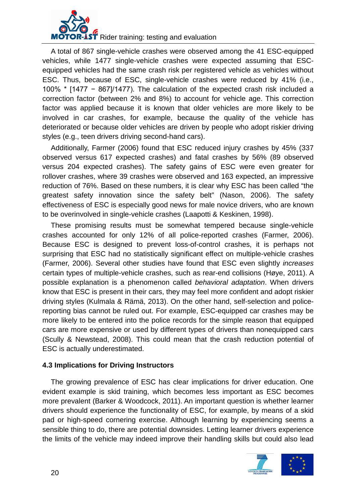

A total of 867 single-vehicle crashes were observed among the 41 ESC-equipped vehicles, while 1477 single-vehicle crashes were expected assuming that ESCequipped vehicles had the same crash risk per registered vehicle as vehicles without ESC. Thus, because of ESC, single-vehicle crashes were reduced by 41% (i.e., 100% \* [1477 − 867]/1477). The calculation of the expected crash risk included a correction factor (between 2% and 8%) to account for vehicle age. This correction factor was applied because it is known that older vehicles are more likely to be involved in car crashes, for example, because the quality of the vehicle has deteriorated or because older vehicles are driven by people who adopt riskier driving styles (e.g., teen drivers driving second-hand cars).

Additionally, Farmer (2006) found that ESC reduced injury crashes by 45% (337 observed versus 617 expected crashes) and fatal crashes by 56% (89 observed versus 204 expected crashes). The safety gains of ESC were even greater for rollover crashes, where 39 crashes were observed and 163 expected, an impressive reduction of 76%. Based on these numbers, it is clear why ESC has been called "the greatest safety innovation since the safety belt" (Nason, 2006). The safety effectiveness of ESC is especially good news for male novice drivers, who are known to be overinvolved in single-vehicle crashes (Laapotti & Keskinen, 1998).

These promising results must be somewhat tempered because single-vehicle crashes accounted for only 12% of all police-reported crashes (Farmer, 2006). Because ESC is designed to prevent loss-of-control crashes, it is perhaps not surprising that ESC had no statistically significant effect on multiple-vehicle crashes (Farmer, 2006). Several other studies have found that ESC even slightly *increases* certain types of multiple-vehicle crashes, such as rear-end collisions (Høye, 2011). A possible explanation is a phenomenon called *behavioral adaptation*. When drivers know that ESC is present in their cars, they may feel more confident and adopt riskier driving styles (Kulmala & Rämä, 2013). On the other hand, self-selection and policereporting bias cannot be ruled out. For example, ESC-equipped car crashes may be more likely to be entered into the police records for the simple reason that equipped cars are more expensive or used by different types of drivers than nonequipped cars (Scully & Newstead, 2008). This could mean that the crash reduction potential of ESC is actually underestimated.

#### **4.3 Implications for Driving Instructors**

The growing prevalence of ESC has clear implications for driver education. One evident example is skid training, which becomes less important as ESC becomes more prevalent (Barker & Woodcock, 2011). An important question is whether learner drivers should experience the functionality of ESC, for example, by means of a skid pad or high-speed cornering exercise. Although learning by experiencing seems a sensible thing to do, there are potential downsides. Letting learner drivers experience the limits of the vehicle may indeed improve their handling skills but could also lead

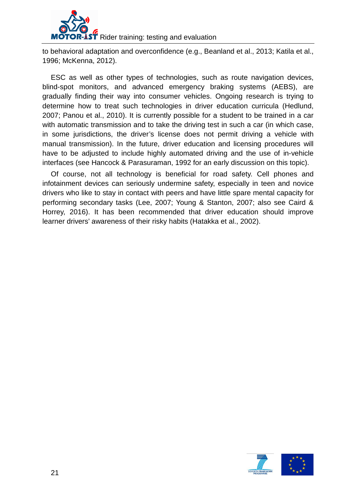

 $\ddot{\mathbf{T}}$  Rider training: testing and evaluation

to behavioral adaptation and overconfidence (e.g., Beanland et al., 2013; Katila et al., 1996; McKenna, 2012).

ESC as well as other types of technologies, such as route navigation devices, blind-spot monitors, and advanced emergency braking systems (AEBS), are gradually finding their way into consumer vehicles. Ongoing research is trying to determine how to treat such technologies in driver education curricula (Hedlund, 2007; Panou et al., 2010). It is currently possible for a student to be trained in a car with automatic transmission and to take the driving test in such a car (in which case, in some jurisdictions, the driver's license does not permit driving a vehicle with manual transmission). In the future, driver education and licensing procedures will have to be adjusted to include highly automated driving and the use of in-vehicle interfaces (see Hancock & Parasuraman, 1992 for an early discussion on this topic).

Of course, not all technology is beneficial for road safety. Cell phones and infotainment devices can seriously undermine safety, especially in teen and novice drivers who like to stay in contact with peers and have little spare mental capacity for performing secondary tasks (Lee, 2007; Young & Stanton, 2007; also see Caird & Horrey, 2016). It has been recommended that driver education should improve learner drivers' awareness of their risky habits (Hatakka et al., 2002).

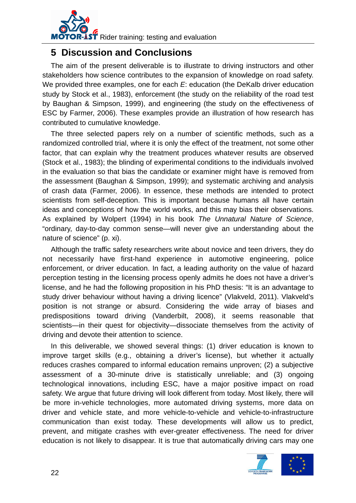## **5 Discussion and Conclusions**

The aim of the present deliverable is to illustrate to driving instructors and other stakeholders how science contributes to the expansion of knowledge on road safety. We provided three examples, one for each *E*: education (the DeKalb driver education study by Stock et al., 1983), enforcement (the study on the reliability of the road test by Baughan & Simpson, 1999), and engineering (the study on the effectiveness of ESC by Farmer, 2006). These examples provide an illustration of how research has contributed to cumulative knowledge.

The three selected papers rely on a number of scientific methods, such as a randomized controlled trial, where it is only the effect of the treatment, not some other factor, that can explain why the treatment produces whatever results are observed (Stock et al., 1983); the blinding of experimental conditions to the individuals involved in the evaluation so that bias the candidate or examiner might have is removed from the assessment (Baughan & Simpson, 1999); and systematic archiving and analysis of crash data (Farmer, 2006). In essence, these methods are intended to protect scientists from self-deception. This is important because humans all have certain ideas and conceptions of how the world works, and this may bias their observations. As explained by Wolpert (1994) in his book *The Unnatural Nature of Science*, "ordinary, day-to-day common sense—will never give an understanding about the nature of science" (p. xi).

Although the traffic safety researchers write about novice and teen drivers, they do not necessarily have first-hand experience in automotive engineering, police enforcement, or driver education. In fact, a leading authority on the value of hazard perception testing in the licensing process openly admits he does not have a driver's license, and he had the following proposition in his PhD thesis: "It is an advantage to study driver behaviour without having a driving licence" (Vlakveld, 2011). Vlakveld's position is not strange or absurd. Considering the wide array of biases and predispositions toward driving (Vanderbilt, 2008), it seems reasonable that scientists—in their quest for objectivity—dissociate themselves from the activity of driving and devote their attention to science.

In this deliverable, we showed several things: (1) driver education is known to improve target skills (e.g., obtaining a driver's license), but whether it actually reduces crashes compared to informal education remains unproven; (2) a subjective assessment of a 30-minute drive is statistically unreliable; and (3) ongoing technological innovations, including ESC, have a major positive impact on road safety. We argue that future driving will look different from today. Most likely, there will be more in-vehicle technologies, more automated driving systems, more data on driver and vehicle state, and more vehicle-to-vehicle and vehicle-to-infrastructure communication than exist today. These developments will allow us to predict, prevent, and mitigate crashes with ever-greater effectiveness. The need for driver education is not likely to disappear. It is true that automatically driving cars may one

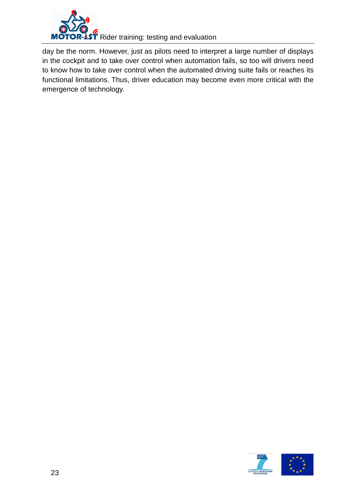

 $\mathsf{S}^{\mathsf{f}}$  Rider training: testing and evaluation

day be the norm. However, just as pilots need to interpret a large number of displays in the cockpit and to take over control when automation fails, so too will drivers need to know how to take over control when the automated driving suite fails or reaches its functional limitations. Thus, driver education may become even more critical with the emergence of technology.

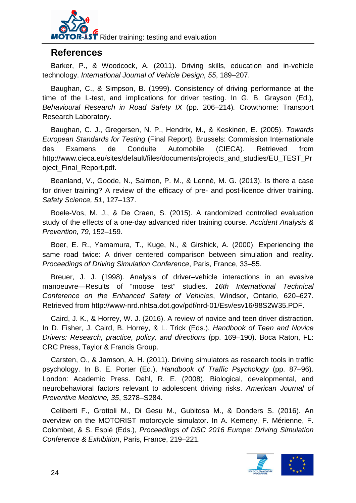

## **References**

Barker, P., & Woodcock, A. (2011). Driving skills, education and in-vehicle technology. *International Journal of Vehicle Design, 55*, 189*–*207.

Baughan, C., & Simpson, B. (1999). Consistency of driving performance at the time of the L-test, and implications for driver testing. In G. B. Grayson (Ed.), *Behavioural Research in Road Safety IX* (pp. 206*–*214)*.* Crowthorne: Transport Research Laboratory.

Baughan, C. J., Gregersen, N. P., Hendrix, M., & Keskinen, E. (2005). *Towards European Standards for Testing* (Final Report). Brussels: Commission Internationale des Examens de Conduite Automobile (CIECA). Retrieved from http://www.cieca.eu/sites/default/files/documents/projects\_and\_studies/EU\_TEST\_Pr oject\_Final\_Report.pdf.

Beanland, V., Goode, N., Salmon, P. M., & Lenné, M. G. (2013). Is there a case for driver training? A review of the efficacy of pre- and post-licence driver training. *Safety Science, 51*, 127–137.

Boele-Vos, M. J., & De Craen, S. (2015). A randomized controlled evaluation study of the effects of a one-day advanced rider training course. *Accident Analysis & Prevention, 79*, 152–159.

Boer, E. R., Yamamura, T., Kuge, N., & Girshick, A. (2000). Experiencing the same road twice: A driver centered comparison between simulation and reality. *Proceedings of Driving Simulation Conference*, Paris, France, 33–55.

Breuer, J. J. (1998). Analysis of driver–vehicle interactions in an evasive manoeuvre—Results of "moose test" studies. *16th International Technical Conference on the Enhanced Safety of Vehicles*, Windsor, Ontario, 620–627. Retrieved from http://www-nrd.nhtsa.dot.gov/pdf/nrd-01/Esv/esv16/98S2W35.PDF.

Caird, J. K., & Horrey, W. J. (2016). A review of novice and teen driver distraction. In D. Fisher, J. Caird, B. Horrey, & L. Trick (Eds.), *Handbook of Teen and Novice Drivers: Research, practice, policy, and directions* (pp. 169–190). Boca Raton, FL: CRC Press, Taylor & Francis Group.

Carsten, O., & Jamson, A. H. (2011). Driving simulators as research tools in traffic psychology. In B. E. Porter (Ed.), *Handbook of Traffic Psychology* (pp. 87–96). London: Academic Press. Dahl, R. E. (2008). Biological, developmental, and neurobehavioral factors relevant to adolescent driving risks. *American Journal of Preventive Medicine, 35*, S278–S284.

Celiberti F., Grottoli M., Di Gesu M., Gubitosa M., & Donders S. (2016). An overview on the MOTORIST motorcycle simulator. In A. Kemeny, F. Mérienne, F. Colombet, & S. Espié (Eds.), *Proceedings of DSC 2016 Europe: Driving Simulation Conference & Exhibition*, Paris, France, 219–221.

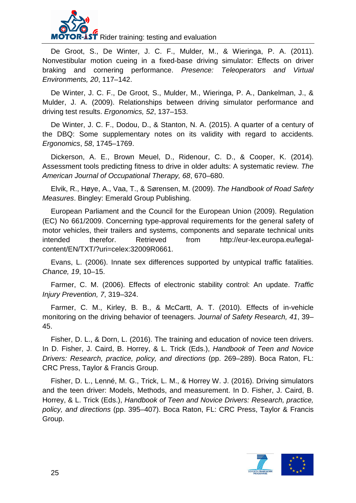

**T** Rider training: testing and evaluation

De Groot, S., De Winter, J. C. F., Mulder, M., & Wieringa, P. A. (2011). Nonvestibular motion cueing in a fixed-base driving simulator: Effects on driver braking and cornering performance. *Presence: Teleoperators and Virtual Environments, 20*, 117–142.

De Winter, J. C. F., De Groot, S., Mulder, M., Wieringa, P. A., Dankelman, J., & Mulder, J. A. (2009). Relationships between driving simulator performance and driving test results. *Ergonomics, 52*, 137–153.

De Winter, J. C. F., Dodou, D., & Stanton, N. A. (2015). A quarter of a century of the DBQ: Some supplementary notes on its validity with regard to accidents. *Ergonomics*, *58*, 1745–1769.

Dickerson, A. E., Brown Meuel, D., Ridenour, C. D., & Cooper, K. (2014). Assessment tools predicting fitness to drive in older adults: A systematic review. *The American Journal of Occupational Therapy, 68*, 670–680.

Elvik, R., Høye, A., Vaa, T., & Sørensen, M. (2009). *The Handbook of Road Safety Measures*. Bingley: Emerald Group Publishing.

European Parliament and the Council for the European Union (2009). Regulation (EC) No 661/2009. Concerning type-approval requirements for the general safety of motor vehicles, their trailers and systems, components and separate technical units intended therefor. Retrieved from http://eur-lex.europa.eu/legalcontent/EN/TXT/?uri=celex:32009R0661.

Evans, L. (2006). Innate sex differences supported by untypical traffic fatalities. *Chance, 19*, 10–15.

Farmer, C. M. (2006). Effects of electronic stability control: An update. *Traffic Injury Prevention, 7*, 319–324.

Farmer, C. M., Kirley, B. B., & McCartt, A. T. (2010). Effects of in-vehicle monitoring on the driving behavior of teenagers. *Journal of Safety Research, 41*, 39– 45.

Fisher, D. L., & Dorn, L. (2016). The training and education of novice teen drivers. In D. Fisher, J. Caird, B. Horrey, & L. Trick (Eds.), *Handbook of Teen and Novice Drivers: Research, practice, policy, and directions* (pp. 269–289). Boca Raton, FL: CRC Press, Taylor & Francis Group.

Fisher, D. L., Lenné, M. G., Trick, L. M., & Horrey W. J. (2016). Driving simulators and the teen driver: Models, Methods, and measurement. In D. Fisher, J. Caird, B. Horrey, & L. Trick (Eds.), *Handbook of Teen and Novice Drivers: Research, practice, policy, and directions* (pp. 395–407). Boca Raton, FL: CRC Press, Taylor & Francis Group.

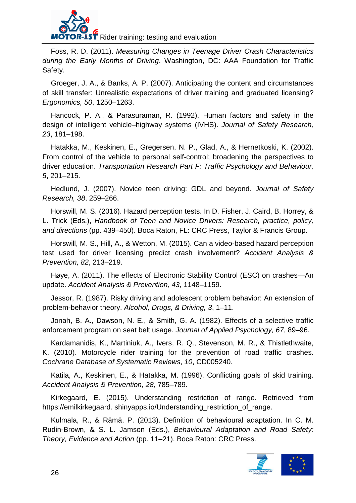

**T** Rider training: testing and evaluation

Foss, R. D. (2011). *Measuring Changes in Teenage Driver Crash Characteristics during the Early Months of Driving*. Washington, DC: AAA Foundation for Traffic Safety.

Groeger, J. A., & Banks, A. P. (2007). Anticipating the content and circumstances of skill transfer: Unrealistic expectations of driver training and graduated licensing? *Ergonomics, 50*, 1250–1263.

Hancock, P. A., & Parasuraman, R. (1992). Human factors and safety in the design of intelligent vehicle–highway systems (IVHS). *Journal of Safety Research, 23*, 181*–*198.

Hatakka, M., Keskinen, E., Gregersen, N. P., Glad, A., & Hernetkoski, K. (2002). From control of the vehicle to personal self-control; broadening the perspectives to driver education. *Transportation Research Part F: Traffic Psychology and Behaviour, 5*, 201–215.

Hedlund, J. (2007). Novice teen driving: GDL and beyond. *Journal of Safety Research, 38*, 259–266.

Horswill, M. S. (2016). Hazard perception tests. In D. Fisher, J. Caird, B. Horrey, & L. Trick (Eds.), *Handbook of Teen and Novice Drivers: Research, practice, policy, and directions* (pp. 439–450). Boca Raton, FL: CRC Press, Taylor & Francis Group.

Horswill, M. S., Hill, A., & Wetton, M. (2015). Can a video-based hazard perception test used for driver licensing predict crash involvement? *Accident Analysis & Prevention, 82*, 213–219.

Høye, A. (2011). The effects of Electronic Stability Control (ESC) on crashes—An update. *Accident Analysis & Prevention, 43*, 1148–1159.

Jessor, R. (1987). Risky driving and adolescent problem behavior: An extension of problem-behavior theory. *Alcohol, Drugs, & Driving, 3*, 1–11.

Jonah, B. A., Dawson, N. E., & Smith, G. A. (1982). Effects of a selective traffic enforcement program on seat belt usage. *Journal of Applied Psychology, 67*, 89–96.

Kardamanidis, K., Martiniuk, A., Ivers, R. Q., Stevenson, M. R., & Thistlethwaite, K. (2010). Motorcycle rider training for the prevention of road traffic crashes. *Cochrane Database of Systematic Reviews*, *10*, CD005240.

Katila, A., Keskinen, E., & Hatakka, M. (1996). Conflicting goals of skid training. *Accident Analysis & Prevention, 28*, 785–789.

Kirkegaard, E. (2015). Understanding restriction of range. Retrieved from https://emilkirkegaard. shinyapps.io/Understanding\_restriction\_of\_range.

Kulmala, R., & Rämä, P. (2013). Definition of behavioural adaptation. In C. M. Rudin-Brown, & S. L. Jamson (Eds.), *Behavioural Adaptation and Road Safety: Theory, Evidence and Action* (pp. 11–21). Boca Raton: CRC Press.

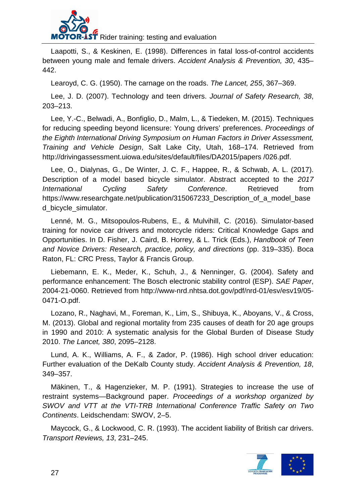

 $\ddot{\mathbf{T}}$  Rider training: testing and evaluation

Laapotti, S., & Keskinen, E. (1998). Differences in fatal loss-of-control accidents between young male and female drivers. *Accident Analysis & Prevention, 30*, 435– 442.

Learoyd, C. G. (1950). The carnage on the roads. *The Lancet, 255*, 367–369.

Lee, J. D. (2007). Technology and teen drivers. *Journal of Safety Research, 38*, 203–213.

Lee, Y.-C., Belwadi, A., Bonfiglio, D., Malm, L., & Tiedeken, M. (2015). Techniques for reducing speeding beyond licensure: Young drivers' preferences. *Proceedings of the Eighth International Driving Symposium on Human Factors in Driver Assessment, Training and Vehicle Design*, Salt Lake City, Utah, 168–174. Retrieved from http://drivingassessment.uiowa.edu/sites/default/files/DA2015/papers /026.pdf.

Lee, O., Dialynas, G., De Winter, J. C. F., Happee, R., & Schwab, A. L. (2017). Description of a model based bicycle simulator. Abstract accepted to the *2017 International Cycling Safety Conference*. Retrieved from https://www.researchgate.net/publication/315067233 Description of a model base d\_bicycle\_simulator.

Lenné, M. G., Mitsopoulos-Rubens, E., & Mulvihill, C. (2016). Simulator-based training for novice car drivers and motorcycle riders: Critical Knowledge Gaps and Opportunities. In D. Fisher, J. Caird, B. Horrey, & L. Trick (Eds.), *Handbook of Teen and Novice Drivers: Research, practice, policy, and directions* (pp. 319–335). Boca Raton, FL: CRC Press, Taylor & Francis Group.

Liebemann, E. K., Meder, K., Schuh, J., & Nenninger, G. (2004). Safety and performance enhancement: The Bosch electronic stability control (ESP). *SAE Paper*, 2004-21-0060. Retrieved from http://www-nrd.nhtsa.dot.gov/pdf/nrd-01/esv/esv19/05- 0471-O.pdf.

Lozano, R., Naghavi, M., Foreman, K., Lim, S., Shibuya, K., Aboyans, V., & Cross, M. (2013). Global and regional mortality from 235 causes of death for 20 age groups in 1990 and 2010: A systematic analysis for the Global Burden of Disease Study 2010. *The Lancet, 380*, 2095–2128.

Lund, A. K., Williams, A. F., & Zador, P. (1986). High school driver education: Further evaluation of the DeKalb County study. *Accident Analysis & Prevention, 18*, 349–357.

Mäkinen, T., & Hagenzieker, M. P. (1991). Strategies to increase the use of restraint systems—Background paper. *Proceedings of a workshop organized by SWOV and VTT at the VTI-TRB International Conference Traffic Safety on Two Continents*. Leidschendam: SWOV, 2–5.

Maycock, G., & Lockwood, C. R. (1993). The accident liability of British car drivers. *Transport Reviews, 13*, 231–245.

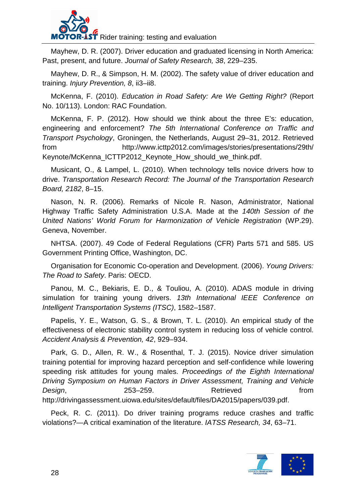

 $T$  Rider training: testing and evaluation

Mayhew, D. R. (2007). Driver education and graduated licensing in North America: Past, present, and future. *Journal of Safety Research, 38*, 229–235.

Mayhew, D. R., & Simpson, H. M. (2002). The safety value of driver education and training. *Injury Prevention, 8*, ii3–ii8.

McKenna, F. (2010). *Education in Road Safety: Are We Getting Right?* (Report No. 10/113). London: RAC Foundation.

McKenna, F. P. (2012). How should we think about the three E's: education, engineering and enforcement? *The 5th International Conference on Traffic and Transport Psychology*, Groningen, the Netherlands, August 29–31, 2012. Retrieved from http://www.icttp2012.com/images/stories/presentations/29th/ Keynote/McKenna\_ICTTP2012\_Keynote\_How\_should\_we\_think.pdf.

Musicant, O., & Lampel, L. (2010). When technology tells novice drivers how to drive. *Transportation Research Record: The Journal of the Transportation Research Board, 2182*, 8–15.

Nason, N. R. (2006). Remarks of Nicole R. Nason, Administrator, National Highway Traffic Safety Administration U.S.A. Made at the *140th Session of the United Nations' World Forum for Harmonization of Vehicle Registration* (WP.29). Geneva, November.

NHTSA. (2007). 49 Code of Federal Regulations (CFR) Parts 571 and 585. US Government Printing Office, Washington, DC.

Organisation for Economic Co-operation and Development. (2006). *Young Drivers: The Road to Safety*. Paris: OECD.

Panou, M. C., Bekiaris, E. D., & Touliou, A. (2010). ADAS module in driving simulation for training young drivers. *13th International IEEE Conference on Intelligent Transportation Systems (ITSC)*, 1582–1587.

Papelis, Y. E., Watson, G. S., & Brown, T. L. (2010). An empirical study of the effectiveness of electronic stability control system in reducing loss of vehicle control. *Accident Analysis & Prevention, 42*, 929–934.

Park, G. D., Allen, R. W., & Rosenthal, T. J. (2015). Novice driver simulation training potential for improving hazard perception and self-confidence while lowering speeding risk attitudes for young males. *Proceedings of the Eighth International Driving Symposium on Human Factors in Driver Assessment, Training and Vehicle Design*, 253–259. Retrieved from http://drivingassessment.uiowa.edu/sites/default/files/DA2015/papers/039.pdf.

Peck, R. C. (2011). Do driver training programs reduce crashes and traffic violations?—A critical examination of the literature. *IATSS Research, 34*, 63–71.

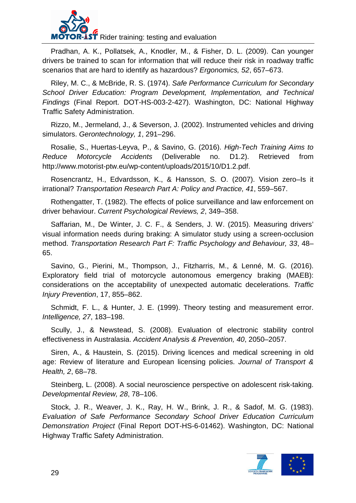

 $\ddot{\mathbf{T}}$  Rider training: testing and evaluation

Pradhan, A. K., Pollatsek, A., Knodler, M., & Fisher, D. L. (2009). Can younger drivers be trained to scan for information that will reduce their risk in roadway traffic scenarios that are hard to identify as hazardous? *Ergonomics, 52*, 657–673.

Riley, M. C., & McBride, R. S. (1974). *Safe Performance Curriculum for Secondary School Driver Education: Program Development, Implementation, and Technical Findings* (Final Report. DOT-HS-003-2-427). Washington, DC: National Highway Traffic Safety Administration.

Rizzo, M., Jermeland, J., & Severson, J. (2002). Instrumented vehicles and driving simulators. *Gerontechnology, 1*, 291–296.

Rosalie, S., Huertas-Leyva, P., & Savino, G. (2016). *High-Tech Training Aims to Reduce Motorcycle Accidents* (Deliverable no. D1.2). Retrieved from http://www.motorist-ptw.eu/wp-content/uploads/2015/10/D1.2.pdf.

Rosencrantz, H., Edvardsson, K., & Hansson, S. O. (2007). Vision zero–Is it irrational? *Transportation Research Part A: Policy and Practice, 41*, 559–567.

Rothengatter, T. (1982). The effects of police surveillance and law enforcement on driver behaviour. *Current Psychological Reviews, 2*, 349–358.

Saffarian, M., De Winter, J. C. F., & Senders, J. W. (2015). Measuring drivers' visual information needs during braking: A simulator study using a screen-occlusion method. *Transportation Research Part F: Traffic Psychology and Behaviour, 33*, 48– 65.

Savino, G., Pierini, M., Thompson, J., Fitzharris, M., & Lenné, M. G. (2016). Exploratory field trial of motorcycle autonomous emergency braking (MAEB): considerations on the acceptability of unexpected automatic decelerations. *Traffic Injury Prevention*, 17, 855–862.

Schmidt, F. L., & Hunter, J. E. (1999). Theory testing and measurement error. *Intelligence, 27*, 183–198.

Scully, J., & Newstead, S. (2008). Evaluation of electronic stability control effectiveness in Australasia. *Accident Analysis & Prevention, 40*, 2050–2057.

Siren, A., & Haustein, S. (2015). Driving licences and medical screening in old age: Review of literature and European licensing policies. *Journal of Transport & Health, 2*, 68–78.

Steinberg, L. (2008). A social neuroscience perspective on adolescent risk-taking. *Developmental Review, 28*, 78–106.

Stock, J. R., Weaver, J. K., Ray, H. W., Brink, J. R., & Sadof, M. G. (1983). *Evaluation of Safe Performance Secondary School Driver Education Curriculum Demonstration Project* (Final Report DOT-HS-6-01462). Washington, DC: National Highway Traffic Safety Administration.

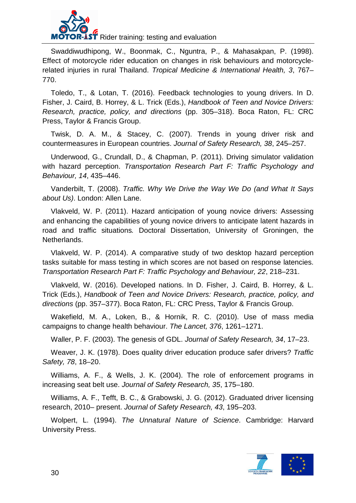

**T** Rider training: testing and evaluation

Swaddiwudhipong, W., Boonmak, C., Nguntra, P., & Mahasakpan, P. (1998). Effect of motorcycle rider education on changes in risk behaviours and motorcyclerelated injuries in rural Thailand. *Tropical Medicine & International Health, 3*, 767– 770.

Toledo, T., & Lotan, T. (2016). Feedback technologies to young drivers. In D. Fisher, J. Caird, B. Horrey, & L. Trick (Eds.), *Handbook of Teen and Novice Drivers: Research, practice, policy, and directions* (pp. 305–318). Boca Raton, FL: CRC Press, Taylor & Francis Group.

Twisk, D. A. M., & Stacey, C. (2007). Trends in young driver risk and countermeasures in European countries. *Journal of Safety Research, 38*, 245–257.

Underwood, G., Crundall, D., & Chapman, P. (2011). Driving simulator validation with hazard perception. *Transportation Research Part F: Traffic Psychology and Behaviour, 14*, 435–446.

Vanderbilt, T. (2008). *Traffic. Why We Drive the Way We Do (and What It Says about Us)*. London: Allen Lane.

Vlakveld, W. P. (2011). Hazard anticipation of young novice drivers: Assessing and enhancing the capabilities of young novice drivers to anticipate latent hazards in road and traffic situations*.* Doctoral Dissertation, University of Groningen, the Netherlands.

Vlakveld, W. P. (2014). A comparative study of two desktop hazard perception tasks suitable for mass testing in which scores are not based on response latencies. *Transportation Research Part F: Traffic Psychology and Behaviour, 22*, 218–231.

Vlakveld, W. (2016). Developed nations. In D. Fisher, J. Caird, B. Horrey, & L. Trick (Eds.), *Handbook of Teen and Novice Drivers: Research, practice, policy, and directions* (pp. 357–377). Boca Raton, FL: CRC Press, Taylor & Francis Group.

Wakefield, M. A., Loken, B., & Hornik, R. C. (2010). Use of mass media campaigns to change health behaviour. *The Lancet, 376*, 1261–1271.

Waller, P. F. (2003). The genesis of GDL. *Journal of Safety Research, 34*, 17–23.

Weaver, J. K. (1978). Does quality driver education produce safer drivers? *Traffic Safety, 78*, 18–20.

Williams, A. F., & Wells, J. K. (2004). The role of enforcement programs in increasing seat belt use. *Journal of Safety Research, 35*, 175–180.

Williams, A. F., Tefft, B. C., & Grabowski, J. G. (2012). Graduated driver licensing research, 2010– present. *Journal of Safety Research, 43*, 195–203.

Wolpert, L. (1994). *The Unnatural Nature of Science*. Cambridge: Harvard University Press.